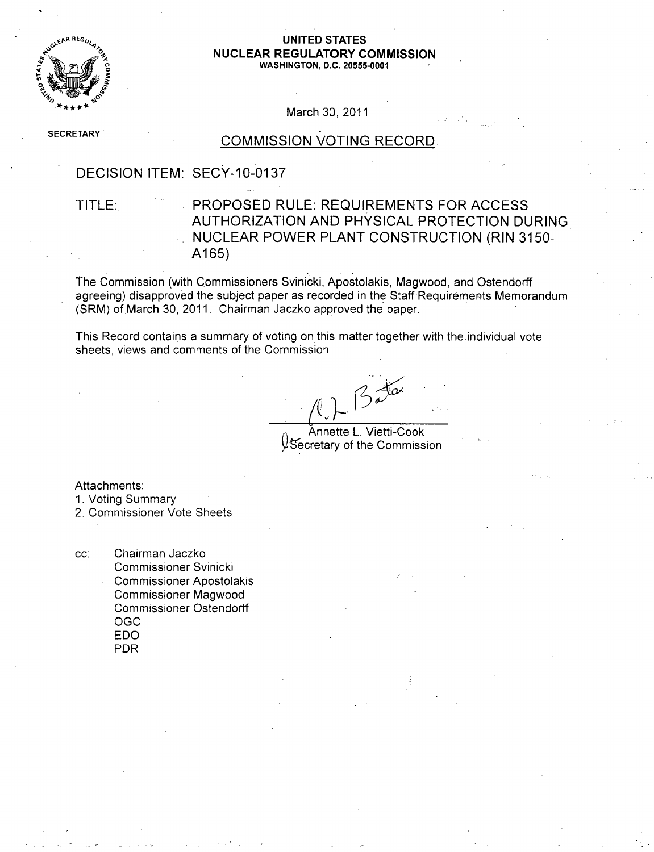

#### REG,,/,, **UNITED STATES 0 NUCLEAR** REGULATORY **COMMISSION WASHINGTON, D.C. 20555-0001**

March 30, 2011

**SECRETARY** 

# **COMMISSION VOTING RECORD**

#### DECISION ITEM: SECY-10-0137

### TITLE: PROPOSED RULE: REQUIREMENTS FOR ACCESS AUTHORIZATION AND PHYSICAL PROTECTION DURING NUCLEAR POWER PLANT CONSTRUCTION (RIN 3150- A165)

The Commission (with Commissioners Svinicki, Apostolakis, Magwood, and Ostendorff agreeing) disapproved the subject paper as recorded in the Staff Requirements Memorandum (SRM) of March 30, 2011. Chairman Jaczko approved the paper.

This Record contains a summary of voting on this matter together with the individual vote sheets, views and comments of the Commission.

 $2\frac{1}{2}$ 

Annette L. Vietti-Cook  $\mathcal Y$ Secretary of the Commission

Attachments:

- 1. Voting Summary
- 2. Commissioner Vote Sheets

cc: Chairman Jaczko Commissioner Svinicki Commissioner Apostolakis Commissioner Magwood Commissioner Ostendorff **OGC** EDO PDR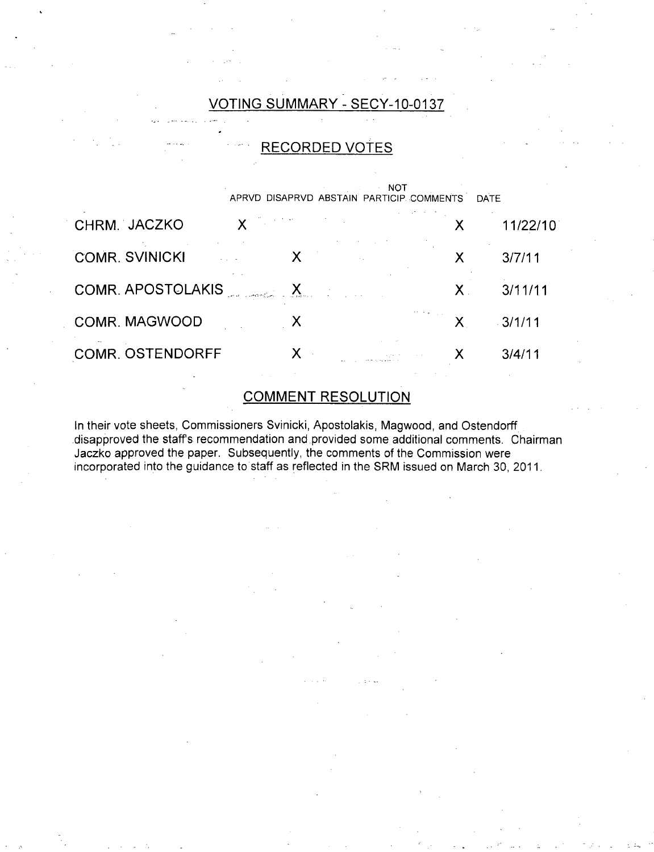### VOTING SUMMARY - SECY-10-0137

#### **.** RECORDED VOTES **NOT** APRVD DISAPRVD ABSTAIN PARTICIP. COMMENTS DATE CHRM. JACZKO X COMR. SVINICKI COMR. APOSTOLAKIS COMR. MAGWOOD COMR. OSTENDORFF **x x x x** X 11/22/10 X 3/7/11 X 3/11/11 X 3/1/11 X 3/4/11

### COMMENT RESOLUTION

In their vote sheets, Commissioners Svinicki, Apostolakis, Magwood, and Ostendorff -disapproved the staffs recommendation and provided some additional comments. Chairman Jaczko approved the paper. Subsequently, the comments of the Commission were incorporated into the guidance to staff as reflected in the SRM issued on March 30, 2011.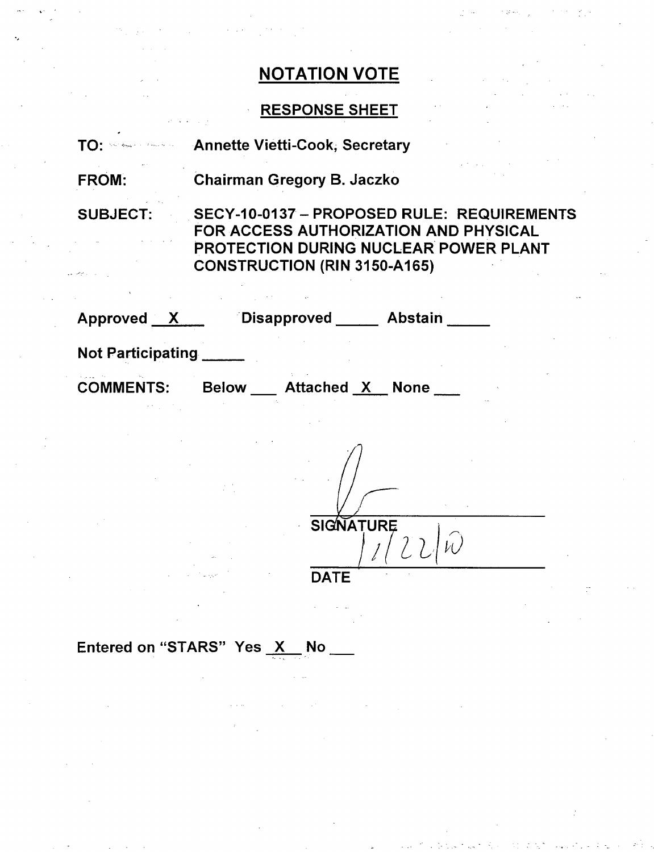# RESPONSE SHEET

| TO: Service Countries    | <b>Annette Vietti-Cook, Secretary</b>                                                                                                                               |  |  |  |
|--------------------------|---------------------------------------------------------------------------------------------------------------------------------------------------------------------|--|--|--|
| <b>FROM:</b>             | Chairman Gregory B. Jaczko                                                                                                                                          |  |  |  |
| <b>SUBJECT:</b>          | SECY-10-0137 - PROPOSED RULE: REQUIREMENTS<br>FOR ACCESS AUTHORIZATION AND PHYSICAL<br>PROTECTION DURING NUCLEAR POWER PLANT<br><b>CONSTRUCTION (RIN 3150-A165)</b> |  |  |  |
| $Approved$ $X$           | Disapproved Abstain                                                                                                                                                 |  |  |  |
| <b>Not Participating</b> |                                                                                                                                                                     |  |  |  |
| <b>COMMENTS:</b>         | <b>Attached X None</b><br><b>Below</b>                                                                                                                              |  |  |  |

 $\begin{array}{c|c}\n\hline\n\text{SIGNATURE}\n\end{array}$  $\widehat{\mathcal{W}}$  $^{7}$ 22

DATE

Entered on "STARS" Yes  $X$  No  $Y$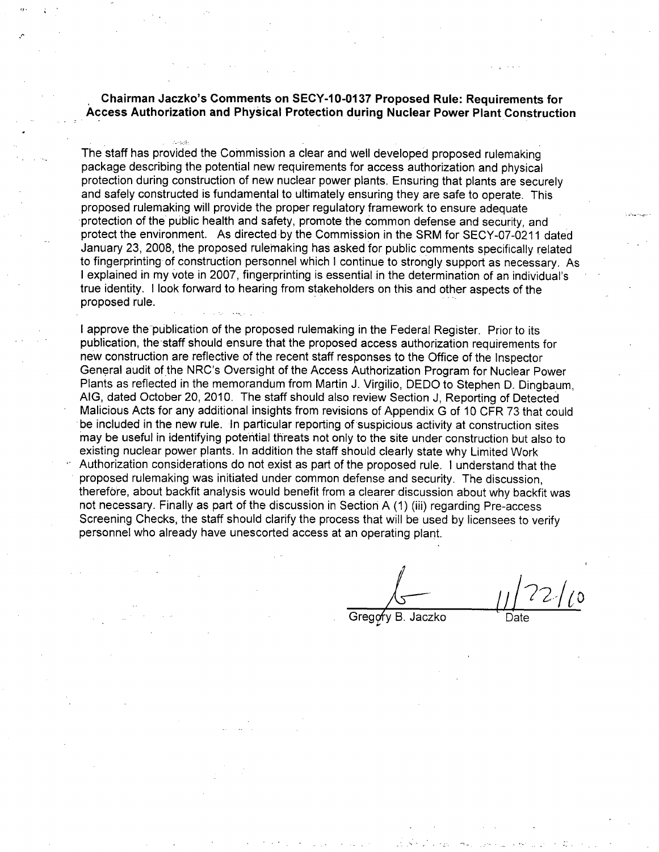Chairman Jaczko's Comments on **SECY-10-0137** Proposed Rule: Requirements for Access Authorization and Physical Protection during Nuclear Power Plant Construction

The staff has provided the Commission a clear and well developed proposed rulemaking package describing the potential new requirements for access authorization and physical protection during construction of new nuclear power plants. Ensuring that plants are securely and safely constructed is fundamental to ultimately ensuring they are safe to operate. This proposed rulemaking will provide the proper regulatory framework to ensure adequate protection of the public health and safety, promote the common defense and security, and protect the environment. As directed by the Commission in the SRM for SECY-07-0211 dated January 23, 2008, the proposed rulemaking has asked for public comments specifically related to fingerprinting of construction personnel which I continue to strongly support as necessary. As I explained in my vote in 2007, fingerprinting is essential in the determination of an individual's true identity. I look forward to hearing from stakeholders on this and other aspects of the proposed rule.

I approve the'publication of the proposed rulemaking in the Federal Register. Prior to its publication, the staff should ensure that the proposed access authorization requirements for new construction are reflective of the recent staff responses to the Office of the Inspector General audit of the NRC's Oversight of the Access Authorization Program for Nuclear Power Plants as reflected in the memorandum from Martin J. Virgilio, DEDO to Stephen D. Dingbaum, AIG, dated October 20, 2010. The staff should also review Section J, Reporting of Detected Malicious Acts for any additional insights from revisions of Appendix G of 10 CFR 73 that could be included in the new rule. In particular reporting of suspicious activity at construction sites may be useful in identifying potential threats not only to the site under construction but also to existing nuclear power plants. In addition the staff should clearly state why Limited Work Authorization considerations do not exist as part of the proposed rule. I understand that the proposed rulemaking was initiated under common defense and security. The discussion, therefore, about backfit analysis would benefit from a clearer discussion about why backfit was not necessary. Finally as part of the discussion in Section A (1) (iii) regarding Pre-access Screening Checks, the staff should clarify the process that will be used by licensees to verify personnel who already have unescorted access at an operating plant.

Gregory B. Jaczko Date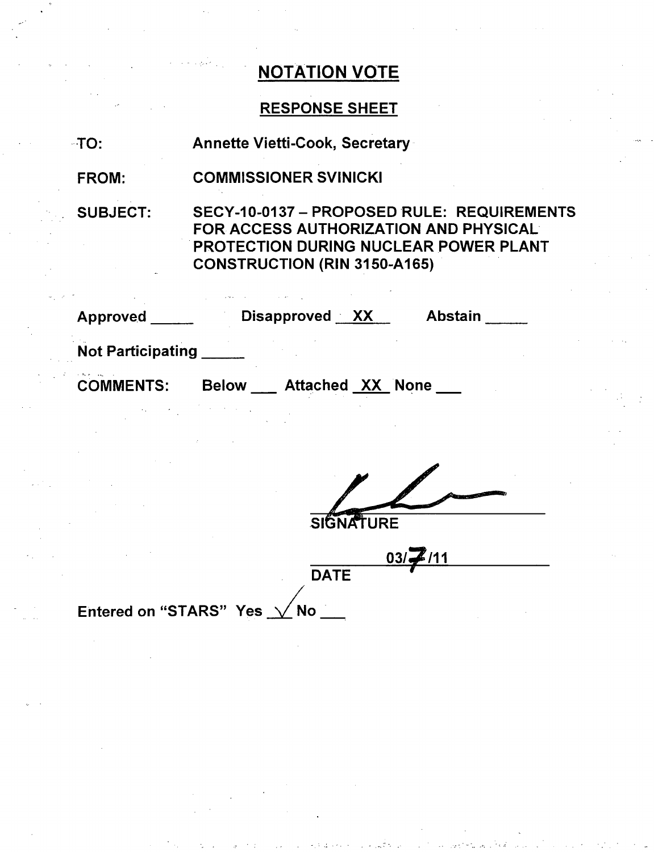### RESPONSE SHEET

| $\cdot$ TO: | <b>Annette Vietti-Cook, Secretary</b> |
|-------------|---------------------------------------|
|-------------|---------------------------------------|

FROM: COMMISSIONER SVINICKI

SUBJECT:

SECY-10-0137- PROPOSED RULE: REQUIREMENTS FOR ACCESS AUTHORIZATION AND PHYSICAL PROTECTION DURING NUCLEAR POWER PLANT CONSTRUCTION (RIN 3150-A165)

| Approved                 | Disapproved XX<br><b>Abstain</b>        |
|--------------------------|-----------------------------------------|
| <b>Not Participating</b> |                                         |
| <b>COMMENTS:</b>         | <b>Attached XX None</b><br><b>Below</b> |
|                          |                                         |

**SIGNATURE** 

**03/2/11 DATE** 

Entered on "STARS" Yes  $\sqrt{N}$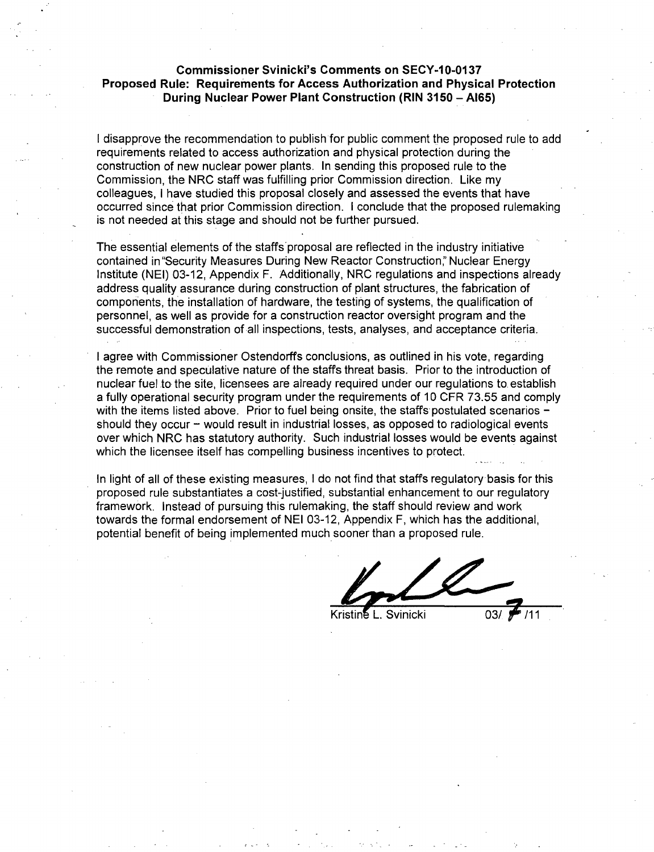#### Commissioner Svinicki's Comments on **SECY-10-0137** Proposed Rule: Requirements for Access Authorization and Physical Protection During Nuclear Power Plant Construction (RIN **3150** - **A165)**

I disapprove the recommendation to publish for public comment the proposed rule to add requirements related to access authorization and physical protection during the construction of new nuclear power plants. In sending this proposed rule to the Commission, the NRC staff was fulfilling prior Commission direction. Like my colleagues, I have studied this proposal closely and assessed the events that have occurred since that prior Commission direction. I conclude that the proposed rulemaking is not needed at this stage and should not be further pursued.

The essential elements of the staffs proposal are reflected in the industry initiative contained in "Security Measures During New Reactor Construction:' Nuclear Energy Institute (NEI) 03-12, Appendix F. Additionally, NRC regulations and inspections already address quality assurance during construction of plant structures, the fabrication of components, the installation of hardware, the testing of systems, the qualification of personnel, as well as provide for a construction reactor oversight program and the successful demonstration of all inspections, tests, analyses, and acceptance criteria.

I agree with Commissioner Ostendorffs conclusions, as outlined in his vote, regarding the remote and speculative nature of the staffs threat basis. Prior to the introduction of nuclear fuel to the site, licensees are already required under our regulations to establish a fully operational security program under the requirements of 10 CFR 73.55 and comply with the items listed above. Prior to fuel being onsite, the staffs postulated scenarios should they occur - would result in industrial losses, as opposed to radiological events over which NRC has statutory authority. Such industrial losses would be events against which the licensee itself has compelling business incentives to protect.

In light of all of these existing measures, I do not find that staffs regulatory basis for this proposed rule substantiates a cost-justified, substantial enhancement to our regulatory framework. Instead of pursuing this rulemaking, the staff should review and work towards the formal endorsement of NEI 03-12, Appendix F, which has the additional, potential benefit of being implemented much sooner than a proposed rule.

Svinicki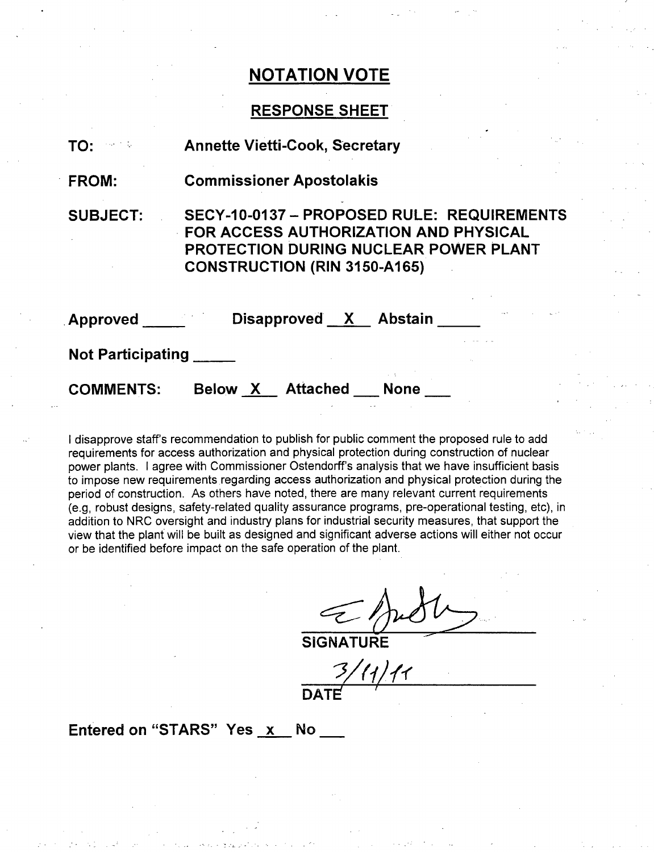### **RESPONSE SHEET**

| TO:                      | <b>Annette Vietti-Cook, Secretary</b>                                                                                                                                      |
|--------------------------|----------------------------------------------------------------------------------------------------------------------------------------------------------------------------|
| FROM:                    | <b>Commissioner Apostolakis</b>                                                                                                                                            |
| <b>SUBJECT:</b>          | SECY-10-0137 - PROPOSED RULE: REQUIREMENTS<br>FOR ACCESS AUTHORIZATION AND PHYSICAL<br><b>PROTECTION DURING NUCLEAR POWER PLANT</b><br><b>CONSTRUCTION (RIN 3150-A165)</b> |
| <b>Approved</b>          | Disapproved X Abstain                                                                                                                                                      |
| <b>Not Participating</b> |                                                                                                                                                                            |
| <b>COMMENTS:</b>         | Attached<br>Below X<br>None                                                                                                                                                |

I disapprove staff's recommendation to publish for public comment the proposed rule to add requirements for access authorization and physical protection during construction of nuclear power plants. I agree with Commissioner Ostendorff's analysis that we have insufficient basis to impose new requirements regarding access authorization and physical protection during the period of construction. As others have noted, there are many relevant current requirements (e.g, robust designs, safety-related quality assurance programs, pre-operational testing, etc), in addition to NRC oversight and industry plans for industrial security measures, that support the view that the plant will be built as designed and significant adverse actions will either not occur or be identified before impact on the safe operation of the plant.

| $\nu$ ) $\iota$ |  |
|-----------------|--|
|                 |  |

SIGNATURE

*VW***I ULAIL**

Entered on "STARS" Yes x No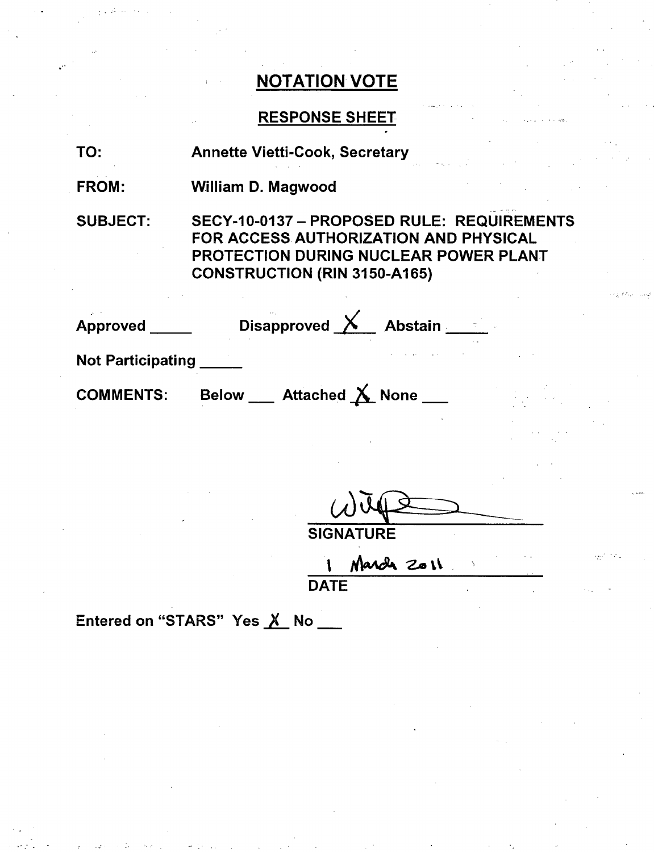# RESPONSE SHEET

| TO: | <b>Annette Vietti-Cook, Secretary</b> |  |
|-----|---------------------------------------|--|
|     |                                       |  |

FROM: William D. Magwood

SUBJECT:

SECY-10-0137 - PROPOSED RULE: REQUIREMENTS FOR ACCESS. AUTHORIZATION AND PHYSICAL PROTECTION DURING NUCLEAR POWER PLANT CONSTRUCTION (RIN 3150-A165)

| <b>Approved</b>          | Disapproved $\times$ Abstain      |  |
|--------------------------|-----------------------------------|--|
| <b>Not Participating</b> |                                   |  |
| <b>COMMENTS:</b>         | Attached $X$ None<br><b>Below</b> |  |

**SIGNATURE** 

March 2011 **DATE** 

Entered on "STARS" Yes X No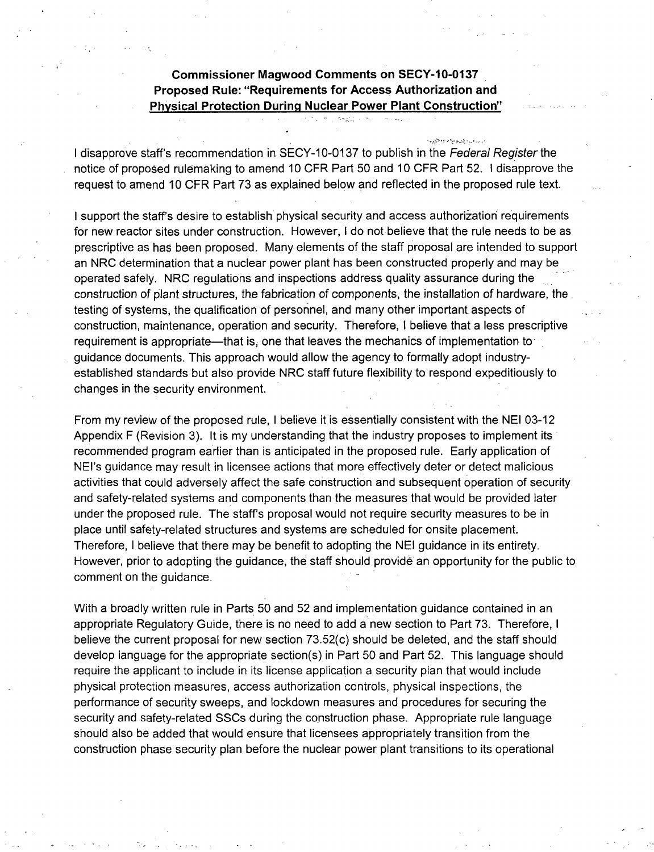### Commissioner Magwood Comments on **SECY-10-0137** Proposed Rule: "Requirements for Access Authorization and Physical Protection During Nuclear Power Plant Construction"

I disapprove staff's recommendation in SECY-10-0137 to publish in the *Federal Register* the notice of proposed rulemaking to amend 10 CFR Part 50 and 10 CFR Part 52. I disapprove the request to amend 10 CFR Part 73 as explained below and reflected in the proposed rule text.

I support the staff's desire to establish physical security and access authorization requirements for new reactor sites under construction. However, I do not believe that the rule needs to be as prescriptive as has been proposed. Many elements of the staff proposal are intended to support an NRC determination that a nuclear power plant has been constructed properly and may be operated safely. NRC regulations and inspections address quality assurance during the construction of plant structures, the fabrication of components, the installation of hardware, the testing of systems, the qualification of personnel, and many other important aspects of construction, maintenance, operation and security. Therefore, I believe that a less prescriptive requirement is appropriate—that is, one that leaves the mechanics of implementation to guidance documents. This approach would allow the agency to formally adopt industryestablished standards but also provide NRC staff future flexibility to respond expeditiously to changes in the security environment.

From my review of the proposed rule, I believe it is essentially consistent with the NEI 03-12 Appendix F (Revision 3). It is my understanding that the industry proposes to implement its recommended program earlier than is anticipated in the proposed rule. Early application of NEI's guidance may result in licensee actions that more effectively deter or detect malicious activities that could adversely affect the safe construction and subsequent operation of security and safety-related systems and components than the measures that would be provided later under the proposed rule. The staff's proposal would not require security measures to be in place until safety-related structures and systems are scheduled for onsite placement. Therefore, I believe that there may be benefit to adopting the NEI guidance in its entirety. However, prior to adopting the guidance, the staff should provide an opportunity for the public to comment on the guidance.

With a broadly written rule in Parts 50 and 52 and implementation guidance contained in an appropriate Regulatory Guide, there is no need to add a new section to Part 73. Therefore, I believe the current proposal for new section 73.52(c) should be deleted, and the staff should develop language for the appropriate section(s) in Part 50 and Part 52. This language should require the applicant to include in its license application a security plan that would include physical protection measures, access authorization controls, physical inspections, the performance of security sweeps, and Iockdown measures and procedures for securing the security and safety-related SSCs during the construction phase. Appropriate rule language should also be added that would ensure that licensees appropriately transition from the construction phase security plan before the nuclear power plant transitions to its operational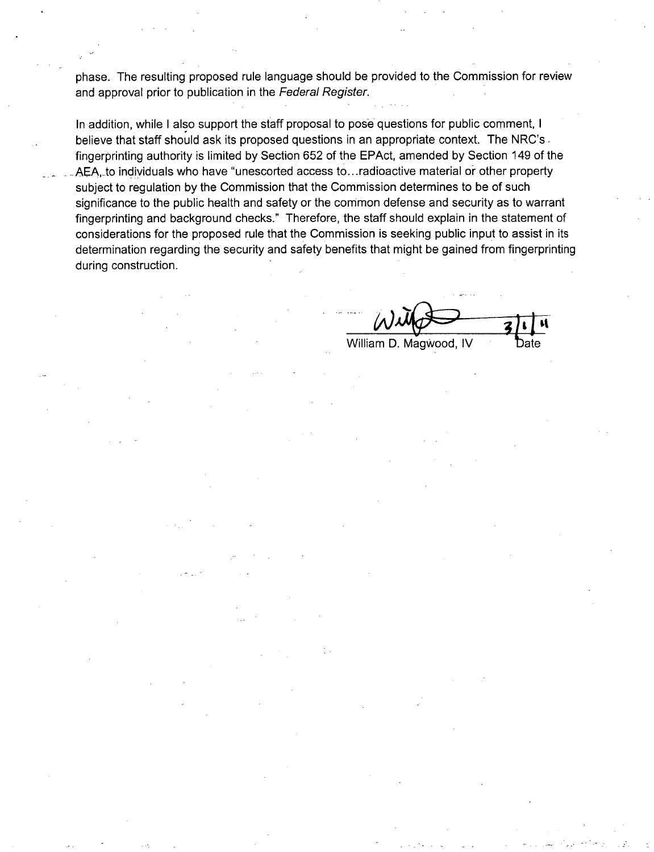phase. The resulting proposed rule language should be provided to the Commission for review and approval prior to publication in the *Federal Register.*

In addition, while I also support the staff proposal to pose questions for public comment, I believe that staff should ask its proposed questions in an appropriate context. The NRC's. fingerprinting authority is limited by Section 652 of the EPAct, amended by Section 149 of the AEA, to individuals who have "unescorted access to...radioactive material or other property subject to regulation by the Commission that the Commission determines to be of such significance to the public health and safety or the common defense and security as to warrant fingerprinting and background checks." Therefore, the staff should explain in the statement of considerations for the proposed rule that the Commission is seeking public input to assist in its determination regarding the security and safety benefits that might be gained from fingerprinting during construction.

William D. Magwood, IV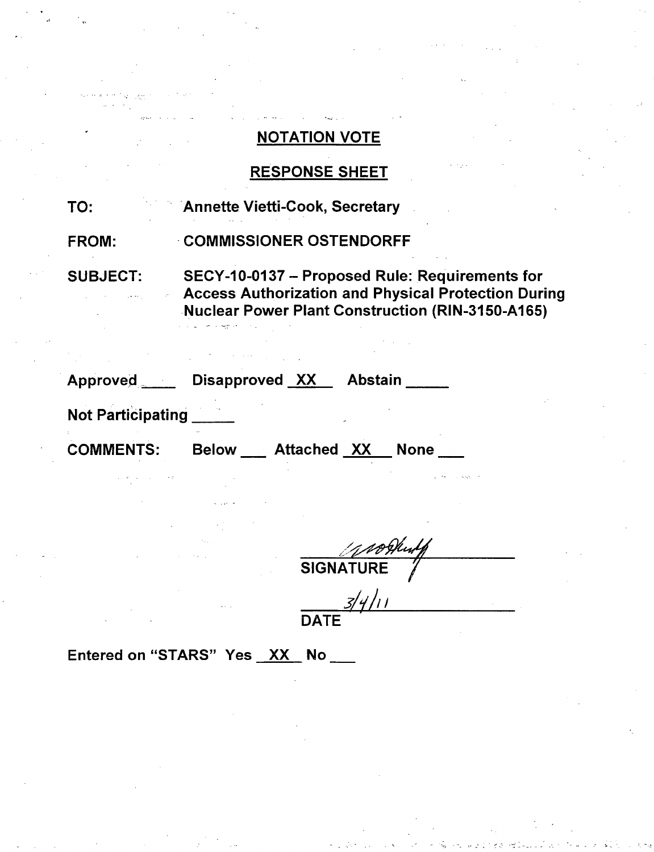### RESPONSE SHEET

TO: Annette Vietti-Cook, Secretary

FROM: COMMISSIONER OSTENDORFF

SUBJECT: SECY-1 0-0137 - Proposed Rule: Requirements for Access Authorization and Physical Protection During Nuclear Power Plant Construction (RIN-3150-A165)

| <b>Approved</b>          | Disapproved XX |                    | <b>Abstain</b> |             |  |
|--------------------------|----------------|--------------------|----------------|-------------|--|
| <b>Not Participating</b> |                |                    |                |             |  |
| <b>COMMENTS:</b>         | <b>Below</b>   | <b>Attached XX</b> |                | <b>None</b> |  |

**SIGNAT** 

 $3/4/11$ DAT

Entered on "STARS" Yes XX No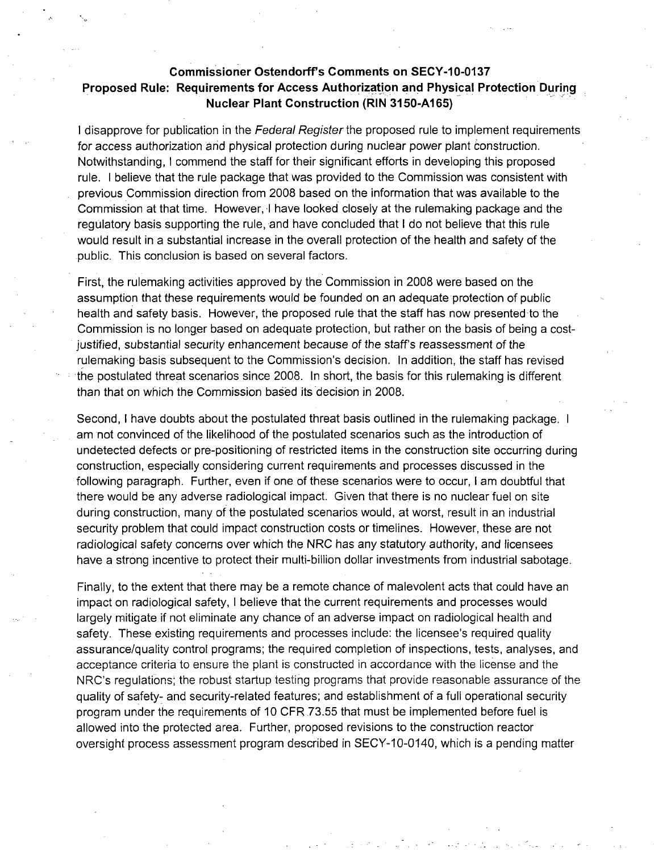### Commissioner Ostendorff's Comments on **SECY-10-0137** Proposed Rule: Requirements for Access Authorization and Physical Protection During Nuclear Plant Construction (RIN **3150-A165)**

I disapprove for publication in the *Federal Register* the proposed rule to implement requirements for access authorization and physical protection during nuclear power plant construction. Notwithstanding, I commend the staff for their significant efforts in developing this proposed rule. I believe that the rule package that was provided to the Commission was consistent with previous Commission direction from 2008 based on the information that was available to the Commission at that time. However, I have looked closely at the rulemaking package and the regulatory basis supporting the rule, and have concluded that I do not believe that this rule would result in a substantial increase in the overall protection of the health and safety of the public. This conclusion is based on several factors.

First, the rulemaking activities approved by the Commission in 2008 were based on the assumption that these requirements would be founded on an adequate protection of public health and safety basis. However, the proposed rule that the staff has now presented to the Commission is no longer based on adequate protection, but rather on the basis of being a costjustified, substantial security enhancement because of the staff's reassessment of the rulemaking basis subsequent to the Commission's decision. In addition, the staff has revised the postulated threat scenarios since 2008. In short, the basis for this rulemaking is different than that on which the Commission based its decision in 2008.

Second, I have doubts about the postulated threat basis outlined in the rulemaking package. I am not convinced of the likelihood of the postulated scenarios such as the introduction of undetected defects or pre-positioning of restricted items in the construction site occurring during construction, especially considering current requirements and processes discussed in the following paragraph. Further, even if one of these scenarios were to occur, I am doubtful that there would be any adverse radiological impact. Given that there is no nuclear fuel on site during construction, many of the postulated scenarios would, at worst, result in an industrial security problem that could impact construction costs or timelines. However, these are not radiological safety concerns over which the NRC has any statutory authority, and licensees have a strong incentive to protect their multi-billion dollar investments from industrial sabotage.

Finally, to the extent that there may be a remote chance of malevolent acts that could have an impact on radiological safety, I believe that the current requirements and processes would largely mitigate if not eliminate any chance of an adverse impact on radiological health and safety. These existing requirements and processes include: the licensee's required quality assurance/quality control programs; the required completion of inspections, tests, analyses, and acceptance criteria to ensure the plant is constructed in accordance with the license and the NRC's regulations; the robust startup testing programs that provide reasonable assurance of the quality of safety- and security-related features; and establishment of a full operational security program under the requirements of 10 CFR 73.55 that must be implemented before fuel is allowed into the protected area. Further, proposed revisions to the construction reactor oversight process assessment program described in SECY-10-0140, which is a pending matter